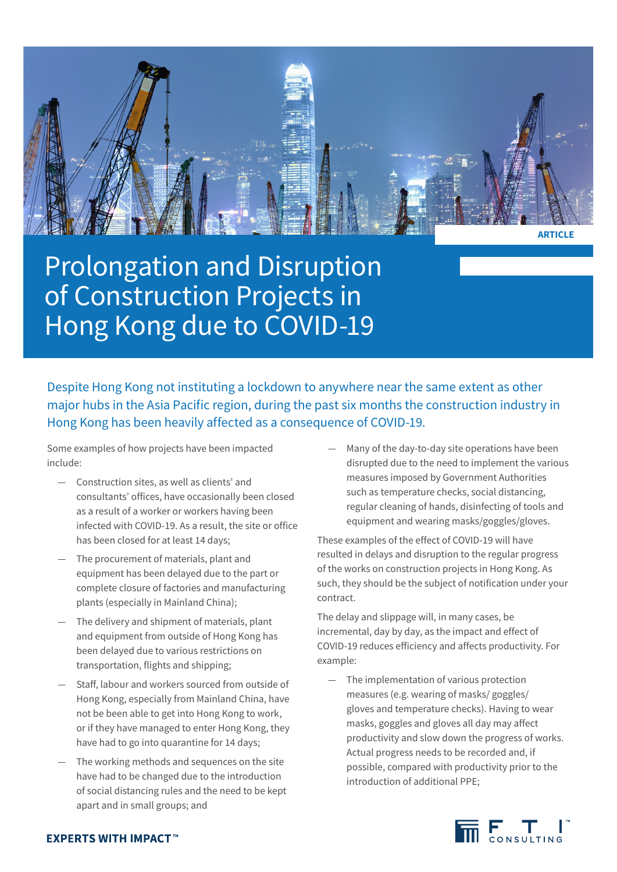

Prolongation and Disruption of Construction Projects in Hong Kong due to COVID-19

Despite Hong Kong not instituting a lockdown to anywhere near the same extent as other major hubs in the Asia Pacific region, during the past six months the construction industry in Hong Kong has been heavily affected as a consequence of COVID-19.

Some examples of how projects have been impacted include:

- Construction sites, as well as clients' and consultants' offices, have occasionally been closed as a result of a worker or workers having been infected with COVID-19. As a result, the site or office has been closed for at least 14 days;
- The procurement of materials, plant and equipment has been delayed due to the part or complete closure of factories and manufacturing plants (especially in Mainland China);
- The delivery and shipment of materials, plant and equipment from outside of Hong Kong has been delayed due to various restrictions on transportation, flights and shipping;
- Staff, labour and workers sourced from outside of Hong Kong, especially from Mainland China, have not be been able to get into Hong Kong to work, or if they have managed to enter Hong Kong, they have had to go into quarantine for 14 days;
- The working methods and sequences on the site have had to be changed due to the introduction of social distancing rules and the need to be kept apart and in small groups; and

Many of the day-to-day site operations have been disrupted due to the need to implement the various measures imposed by Government Authorities such as temperature checks, social distancing, regular cleaning of hands, disinfecting of tools and equipment and wearing masks/goggles/gloves.

These examples of the effect of COVID-19 will have resulted in delays and disruption to the regular progress of the works on construction projects in Hong Kong. As such, they should be the subject of notification under your contract.

The delay and slippage will, in many cases, be incremental, day by day, as the impact and effect of COVID-19 reduces efficiency and affects productivity. For example:

The implementation of various protection measures (e.g. wearing of masks/ goggles/ gloves and temperature checks). Having to wear masks, goggles and gloves all day may affect productivity and slow down the progress of works. Actual progress needs to be recorded and, if possible, compared with productivity prior to the introduction of additional PPE;



## **EXPERTS WITH IMPACT™**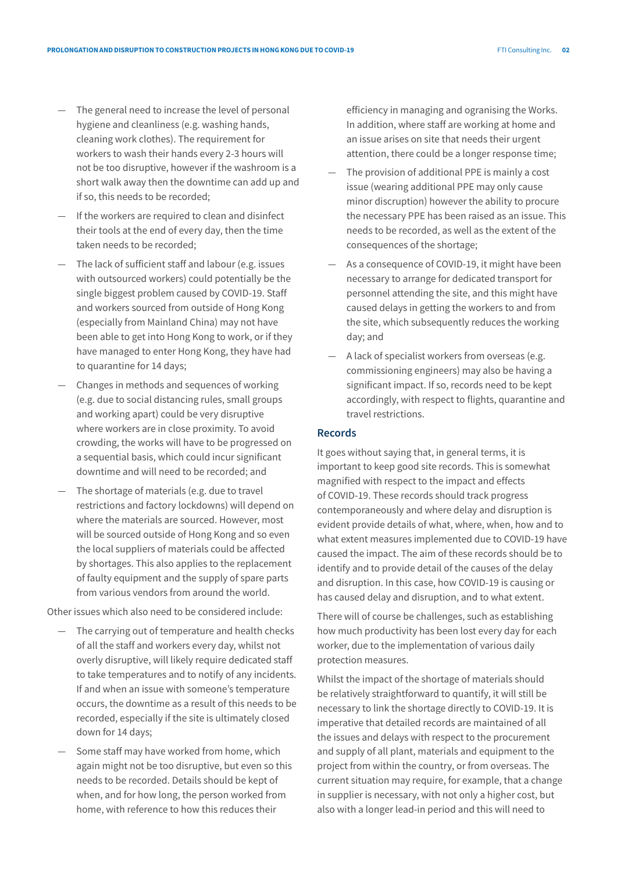- The general need to increase the level of personal hygiene and cleanliness (e.g. washing hands, cleaning work clothes). The requirement for workers to wash their hands every 2-3 hours will not be too disruptive, however if the washroom is a short walk away then the downtime can add up and if so, this needs to be recorded;
- If the workers are required to clean and disinfect their tools at the end of every day, then the time taken needs to be recorded;
- The lack of sufficient staff and labour (e.g. issues with outsourced workers) could potentially be the single biggest problem caused by COVID-19. Staff and workers sourced from outside of Hong Kong (especially from Mainland China) may not have been able to get into Hong Kong to work, or if they have managed to enter Hong Kong, they have had to quarantine for 14 days;
- Changes in methods and sequences of working (e.g. due to social distancing rules, small groups and working apart) could be very disruptive where workers are in close proximity. To avoid crowding, the works will have to be progressed on a sequential basis, which could incur significant downtime and will need to be recorded; and
- The shortage of materials (e.g. due to travel restrictions and factory lockdowns) will depend on where the materials are sourced. However, most will be sourced outside of Hong Kong and so even the local suppliers of materials could be affected by shortages. This also applies to the replacement of faulty equipment and the supply of spare parts from various vendors from around the world.

Other issues which also need to be considered include:

- The carrying out of temperature and health checks of all the staff and workers every day, whilst not overly disruptive, will likely require dedicated staff to take temperatures and to notify of any incidents. If and when an issue with someone's temperature occurs, the downtime as a result of this needs to be recorded, especially if the site is ultimately closed down for 14 days;
- Some staff may have worked from home, which again might not be too disruptive, but even so this needs to be recorded. Details should be kept of when, and for how long, the person worked from home, with reference to how this reduces their

efficiency in managing and ogranising the Works. In addition, where staff are working at home and an issue arises on site that needs their urgent attention, there could be a longer response time;

- The provision of additional PPE is mainly a cost issue (wearing additional PPE may only cause minor discruption) however the ability to procure the necessary PPE has been raised as an issue. This needs to be recorded, as well as the extent of the consequences of the shortage;
- As a consequence of COVID-19, it might have been necessary to arrange for dedicated transport for personnel attending the site, and this might have caused delays in getting the workers to and from the site, which subsequently reduces the working day; and
- A lack of specialist workers from overseas (e.g. commissioning engineers) may also be having a significant impact. If so, records need to be kept accordingly, with respect to flights, quarantine and travel restrictions.

## **Records**

It goes without saying that, in general terms, it is important to keep good site records. This is somewhat magnified with respect to the impact and effects of COVID-19. These records should track progress contemporaneously and where delay and disruption is evident provide details of what, where, when, how and to what extent measures implemented due to COVID-19 have caused the impact. The aim of these records should be to identify and to provide detail of the causes of the delay and disruption. In this case, how COVID-19 is causing or has caused delay and disruption, and to what extent.

There will of course be challenges, such as establishing how much productivity has been lost every day for each worker, due to the implementation of various daily protection measures.

Whilst the impact of the shortage of materials should be relatively straightforward to quantify, it will still be necessary to link the shortage directly to COVID-19. It is imperative that detailed records are maintained of all the issues and delays with respect to the procurement and supply of all plant, materials and equipment to the project from within the country, or from overseas. The current situation may require, for example, that a change in supplier is necessary, with not only a higher cost, but also with a longer lead-in period and this will need to